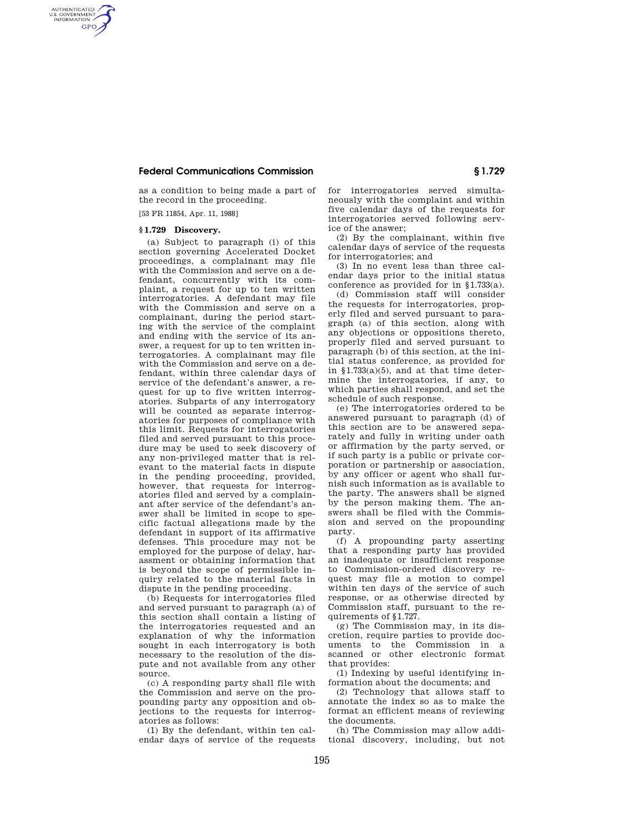## **Federal Communications Commission § 1.729**

as a condition to being made a part of the record in the proceeding.

[53 FR 11854, Apr. 11, 1988]

## **§ 1.729 Discovery.**

AUTHENTICATED<br>U.S. GOVERNMENT<br>INFORMATION **GPO** 

> (a) Subject to paragraph (i) of this section governing Accelerated Docket proceedings, a complainant may file with the Commission and serve on a defendant, concurrently with its complaint, a request for up to ten written interrogatories. A defendant may file with the Commission and serve on a complainant, during the period starting with the service of the complaint and ending with the service of its answer, a request for up to ten written interrogatories. A complainant may file with the Commission and serve on a defendant, within three calendar days of service of the defendant's answer, a request for up to five written interrogatories. Subparts of any interrogatory will be counted as separate interrogatories for purposes of compliance with this limit. Requests for interrogatories filed and served pursuant to this procedure may be used to seek discovery of any non-privileged matter that is relevant to the material facts in dispute in the pending proceeding, provided, however, that requests for interrogatories filed and served by a complainant after service of the defendant's answer shall be limited in scope to specific factual allegations made by the defendant in support of its affirmative defenses. This procedure may not be employed for the purpose of delay, harassment or obtaining information that is beyond the scope of permissible inquiry related to the material facts in dispute in the pending proceeding.

> (b) Requests for interrogatories filed and served pursuant to paragraph (a) of this section shall contain a listing of the interrogatories requested and an explanation of why the information sought in each interrogatory is both necessary to the resolution of the dispute and not available from any other source.

> (c) A responding party shall file with the Commission and serve on the propounding party any opposition and objections to the requests for interrogatories as follows:

> (1) By the defendant, within ten calendar days of service of the requests

for interrogatories served simultaneously with the complaint and within five calendar days of the requests for interrogatories served following service of the answer;

(2) By the complainant, within five calendar days of service of the requests for interrogatories; and

(3) In no event less than three calendar days prior to the initial status conference as provided for in §1.733(a).

(d) Commission staff will consider the requests for interrogatories, properly filed and served pursuant to paragraph (a) of this section, along with any objections or oppositions thereto, properly filed and served pursuant to paragraph (b) of this section, at the initial status conference, as provided for in §1.733(a)(5), and at that time determine the interrogatories, if any, to which parties shall respond, and set the schedule of such response.

(e) The interrogatories ordered to be answered pursuant to paragraph (d) of this section are to be answered separately and fully in writing under oath or affirmation by the party served, or if such party is a public or private corporation or partnership or association, by any officer or agent who shall furnish such information as is available to the party. The answers shall be signed by the person making them. The answers shall be filed with the Commission and served on the propounding party.

(f) A propounding party asserting that a responding party has provided an inadequate or insufficient response to Commission-ordered discovery request may file a motion to compel within ten days of the service of such response, or as otherwise directed by Commission staff, pursuant to the requirements of \$1.727.

(g) The Commission may, in its discretion, require parties to provide documents to the Commission in a scanned or other electronic format that provides:

(1) Indexing by useful identifying information about the documents; and

(2) Technology that allows staff to annotate the index so as to make the format an efficient means of reviewing the documents.

(h) The Commission may allow additional discovery, including, but not